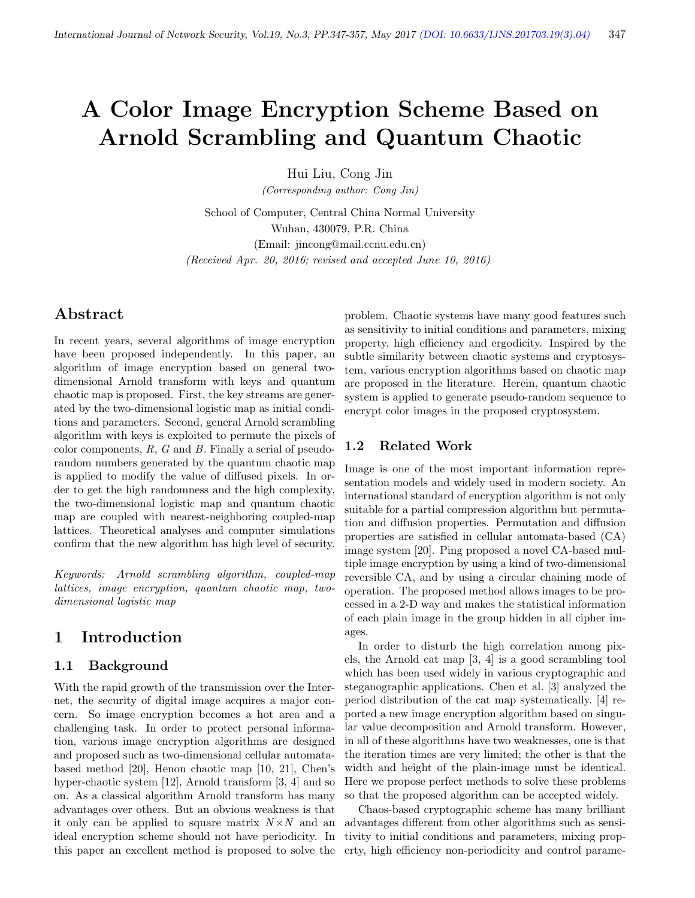# A Color Image Encryption Scheme Based on Arnold Scrambling and Quantum Chaotic

Hui Liu, Cong Jin

(Corresponding author: Cong Jin)

School of Computer, Central China Normal University Wuhan, 430079, P.R. China (Email: jincong@mail.ccnu.edu.cn) (Received Apr. 20, 2016; revised and accepted June 10, 2016)

# Abstract

In recent years, several algorithms of image encryption have been proposed independently. In this paper, an algorithm of image encryption based on general twodimensional Arnold transform with keys and quantum chaotic map is proposed. First, the key streams are generated by the two-dimensional logistic map as initial conditions and parameters. Second, general Arnold scrambling algorithm with keys is exploited to permute the pixels of color components,  $R$ ,  $G$  and  $B$ . Finally a serial of pseudorandom numbers generated by the quantum chaotic map is applied to modify the value of diffused pixels. In order to get the high randomness and the high complexity, the two-dimensional logistic map and quantum chaotic map are coupled with nearest-neighboring coupled-map lattices. Theoretical analyses and computer simulations confirm that the new algorithm has high level of security.

Keywords: Arnold scrambling algorithm, coupled-map lattices, image encryption, quantum chaotic map, twodimensional logistic map

# 1 Introduction

#### 1.1 Background

With the rapid growth of the transmission over the Internet, the security of digital image acquires a major concern. So image encryption becomes a hot area and a challenging task. In order to protect personal information, various image encryption algorithms are designed and proposed such as two-dimensional cellular automatabased method [20], Henon chaotic map [10, 21], Chen's hyper-chaotic system [12], Arnold transform [3, 4] and so on. As a classical algorithm Arnold transform has many advantages over others. But an obvious weakness is that it only can be applied to square matrix  $N \times N$  and an ideal encryption scheme should not have periodicity. In this paper an excellent method is proposed to solve the

problem. Chaotic systems have many good features such as sensitivity to initial conditions and parameters, mixing property, high efficiency and ergodicity. Inspired by the subtle similarity between chaotic systems and cryptosystem, various encryption algorithms based on chaotic map are proposed in the literature. Herein, quantum chaotic system is applied to generate pseudo-random sequence to encrypt color images in the proposed cryptosystem.

#### 1.2 Related Work

Image is one of the most important information representation models and widely used in modern society. An international standard of encryption algorithm is not only suitable for a partial compression algorithm but permutation and diffusion properties. Permutation and diffusion properties are satisfied in cellular automata-based (CA) image system [20]. Ping proposed a novel CA-based multiple image encryption by using a kind of two-dimensional reversible CA, and by using a circular chaining mode of operation. The proposed method allows images to be processed in a 2-D way and makes the statistical information of each plain image in the group hidden in all cipher images.

In order to disturb the high correlation among pixels, the Arnold cat map [3, 4] is a good scrambling tool which has been used widely in various cryptographic and steganographic applications. Chen et al. [3] analyzed the period distribution of the cat map systematically. [4] reported a new image encryption algorithm based on singular value decomposition and Arnold transform. However, in all of these algorithms have two weaknesses, one is that the iteration times are very limited; the other is that the width and height of the plain-image must be identical. Here we propose perfect methods to solve these problems so that the proposed algorithm can be accepted widely.

Chaos-based cryptographic scheme has many brilliant advantages different from other algorithms such as sensitivity to initial conditions and parameters, mixing property, high efficiency non-periodicity and control parame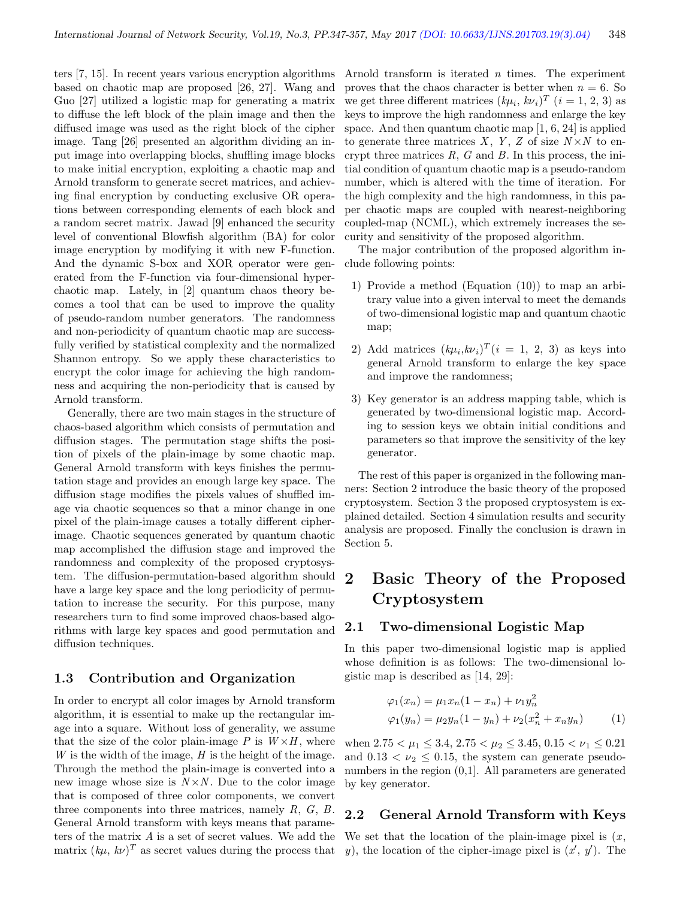ters [7, 15]. In recent years various encryption algorithms based on chaotic map are proposed [26, 27]. Wang and Guo [27] utilized a logistic map for generating a matrix to diffuse the left block of the plain image and then the diffused image was used as the right block of the cipher image. Tang [26] presented an algorithm dividing an input image into overlapping blocks, shuffling image blocks to make initial encryption, exploiting a chaotic map and Arnold transform to generate secret matrices, and achieving final encryption by conducting exclusive OR operations between corresponding elements of each block and a random secret matrix. Jawad [9] enhanced the security level of conventional Blowfish algorithm (BA) for color image encryption by modifying it with new F-function. And the dynamic S-box and XOR operator were generated from the F-function via four-dimensional hyperchaotic map. Lately, in [2] quantum chaos theory becomes a tool that can be used to improve the quality of pseudo-random number generators. The randomness and non-periodicity of quantum chaotic map are successfully verified by statistical complexity and the normalized Shannon entropy. So we apply these characteristics to encrypt the color image for achieving the high randomness and acquiring the non-periodicity that is caused by Arnold transform.

Generally, there are two main stages in the structure of chaos-based algorithm which consists of permutation and diffusion stages. The permutation stage shifts the position of pixels of the plain-image by some chaotic map. General Arnold transform with keys finishes the permutation stage and provides an enough large key space. The diffusion stage modifies the pixels values of shuffled image via chaotic sequences so that a minor change in one pixel of the plain-image causes a totally different cipherimage. Chaotic sequences generated by quantum chaotic map accomplished the diffusion stage and improved the randomness and complexity of the proposed cryptosystem. The diffusion-permutation-based algorithm should have a large key space and the long periodicity of permutation to increase the security. For this purpose, many researchers turn to find some improved chaos-based algorithms with large key spaces and good permutation and diffusion techniques.

#### 1.3 Contribution and Organization

In order to encrypt all color images by Arnold transform algorithm, it is essential to make up the rectangular image into a square. Without loss of generality, we assume that the size of the color plain-image  $P$  is  $W \times H$ , where W is the width of the image,  $H$  is the height of the image. Through the method the plain-image is converted into a new image whose size is  $N \times N$ . Due to the color image that is composed of three color components, we convert three components into three matrices, namely  $R, G, B$ . General Arnold transform with keys means that parameters of the matrix  $A$  is a set of secret values. We add the matrix  $(k\mu, k\nu)^T$  as secret values during the process that

Arnold transform is iterated  $n$  times. The experiment proves that the chaos character is better when  $n = 6$ . So we get three different matrices  $(k\mu_i, k\nu_i)^T$   $(i = 1, 2, 3)$  as keys to improve the high randomness and enlarge the key space. And then quantum chaotic map [1, 6, 24] is applied to generate three matrices X, Y, Z of size  $N \times N$  to encrypt three matrices  $R$ ,  $G$  and  $B$ . In this process, the initial condition of quantum chaotic map is a pseudo-random number, which is altered with the time of iteration. For the high complexity and the high randomness, in this paper chaotic maps are coupled with nearest-neighboring coupled-map (NCML), which extremely increases the security and sensitivity of the proposed algorithm.

The major contribution of the proposed algorithm include following points:

- 1) Provide a method (Equation (10)) to map an arbitrary value into a given interval to meet the demands of two-dimensional logistic map and quantum chaotic map;
- 2) Add matrices  $(k\mu_i, k\nu_i)^T(i = 1, 2, 3)$  as keys into general Arnold transform to enlarge the key space and improve the randomness;
- 3) Key generator is an address mapping table, which is generated by two-dimensional logistic map. According to session keys we obtain initial conditions and parameters so that improve the sensitivity of the key generator.

The rest of this paper is organized in the following manners: Section 2 introduce the basic theory of the proposed cryptosystem. Section 3 the proposed cryptosystem is explained detailed. Section 4 simulation results and security analysis are proposed. Finally the conclusion is drawn in Section 5.

# 2 Basic Theory of the Proposed Cryptosystem

#### 2.1 Two-dimensional Logistic Map

In this paper two-dimensional logistic map is applied whose definition is as follows: The two-dimensional logistic map is described as [14, 29]:

$$
\varphi_1(x_n) = \mu_1 x_n (1 - x_n) + \nu_1 y_n^2
$$
  

$$
\varphi_1(y_n) = \mu_2 y_n (1 - y_n) + \nu_2 (x_n^2 + x_n y_n)
$$
 (1)

when  $2.75 < \mu_1 \leq 3.4$ ,  $2.75 < \mu_2 \leq 3.45$ ,  $0.15 < \nu_1 \leq 0.21$ and  $0.13 < \nu_2 \leq 0.15$ , the system can generate pseudonumbers in the region (0,1]. All parameters are generated by key generator.

# 2.2 General Arnold Transform with Keys

We set that the location of the plain-image pixel is  $(x, \cdot)$ y), the location of the cipher-image pixel is  $(x', y')$ . The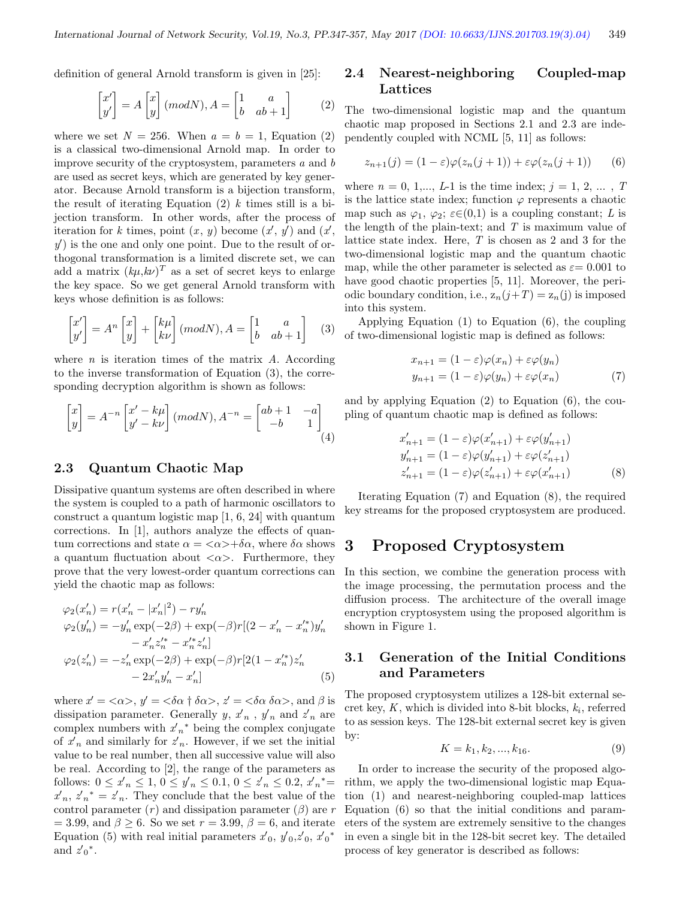definition of general Arnold transform is given in [25]:

$$
\begin{bmatrix} x' \\ y' \end{bmatrix} = A \begin{bmatrix} x \\ y \end{bmatrix} (mod N), A = \begin{bmatrix} 1 & a \\ b & ab + 1 \end{bmatrix}
$$
 (2)

where we set  $N = 256$ . When  $a = b = 1$ , Equation (2) is a classical two-dimensional Arnold map. In order to improve security of the cryptosystem, parameters  $a$  and  $b$ are used as secret keys, which are generated by key generator. Because Arnold transform is a bijection transform, the result of iterating Equation  $(2)$  k times still is a bijection transform. In other words, after the process of iteration for k times, point  $(x, y)$  become  $(x', y')$  and  $(x', y')$  $y'$ ) is the one and only one point. Due to the result of orthogonal transformation is a limited discrete set, we can add a matrix  $(k\mu, k\nu)^T$  as a set of secret keys to enlarge the key space. So we get general Arnold transform with keys whose definition is as follows:

$$
\begin{bmatrix} x' \\ y' \end{bmatrix} = A^n \begin{bmatrix} x \\ y \end{bmatrix} + \begin{bmatrix} k\mu \\ k\nu \end{bmatrix} (mod N), A = \begin{bmatrix} 1 & a \\ b & ab + 1 \end{bmatrix} \quad (3)
$$

where  $n$  is iteration times of the matrix  $A$ . According to the inverse transformation of Equation (3), the corresponding decryption algorithm is shown as follows:

$$
\begin{bmatrix} x \\ y \end{bmatrix} = A^{-n} \begin{bmatrix} x' - k\mu \\ y' - k\nu \end{bmatrix} (mod N), A^{-n} = \begin{bmatrix} ab+1 & -a \\ -b & 1 \end{bmatrix}
$$

$$
\tag{4}
$$

#### 2.3 Quantum Chaotic Map

Dissipative quantum systems are often described in where the system is coupled to a path of harmonic oscillators to construct a quantum logistic map [1, 6, 24] with quantum corrections. In [1], authors analyze the effects of quantum corrections and state  $\alpha = \langle \alpha \rangle + \delta \alpha$ , where  $\delta \alpha$  shows a quantum fluctuation about  $\langle \alpha \rangle$ . Furthermore, they prove that the very lowest-order quantum corrections can yield the chaotic map as follows:

$$
\varphi_2(x'_n) = r(x'_n - |x'_n|^2) - ry'_n
$$
  
\n
$$
\varphi_2(y'_n) = -y'_n \exp(-2\beta) + \exp(-\beta)r[(2 - x'_n - x'^*_n)y'_n
$$
  
\n
$$
- x'_n z'^*_n - x'^*_n z'_n]
$$
  
\n
$$
\varphi_2(z'_n) = -z'_n \exp(-2\beta) + \exp(-\beta)r[2(1 - x'^*_n)z'_n
$$
  
\n
$$
- 2x'_n y'_n - x'_n]
$$
\n(5)

where  $x' = \langle \alpha \rangle$ ,  $y' = \langle \delta \alpha \dagger \delta \alpha \rangle$ ,  $z' = \langle \delta \alpha \delta \alpha \rangle$ , and  $\beta$  is dissipation parameter. Generally  $y, x_n'$ ,  $y_n'$  and  $z_n'$  are complex numbers with  $x'_n^*$  being the complex conjugate of  $x_n$  and similarly for  $z_n$ . However, if we set the initial value to be real number, then all successive value will also be real. According to [2], the range of the parameters as follows:  $0 \le x_n \le 1, 0 \le y_n \le 0.1, 0 \le z_n \le 0.2, x_n^* =$  $x'_n, z'_n^* = z'_n$ . They conclude that the best value of the control parameter  $(r)$  and dissipation parameter  $(\beta)$  are r  $= 3.99$ , and  $\beta \ge 6$ . So we set  $r = 3.99$ ,  $\beta = 6$ , and iterate Equation (5) with real initial parameters  $x_0, y_0, z_0, x_0^*$ and  $z_0^*$ .

## 2.4 Nearest-neighboring Coupled-map Lattices

The two-dimensional logistic map and the quantum chaotic map proposed in Sections 2.1 and 2.3 are independently coupled with NCML [5, 11] as follows:

$$
z_{n+1}(j) = (1 - \varepsilon)\varphi(z_n(j+1)) + \varepsilon\varphi(z_n(j+1)) \qquad (6)
$$

where  $n = 0, 1,..., L-1$  is the time index;  $j = 1, 2, ... , T$ is the lattice state index; function  $\varphi$  represents a chaotic map such as  $\varphi_1$ ,  $\varphi_2$ ;  $\varepsilon \in (0,1)$  is a coupling constant; L is the length of the plain-text; and  $T$  is maximum value of lattice state index. Here, T is chosen as 2 and 3 for the two-dimensional logistic map and the quantum chaotic map, while the other parameter is selected as  $\varepsilon = 0.001$  to have good chaotic properties [5, 11]. Moreover, the periodic boundary condition, i.e.,  $z_n(j+T) = z_n(j)$  is imposed into this system.

Applying Equation (1) to Equation (6), the coupling of two-dimensional logistic map is defined as follows:

$$
x_{n+1} = (1 - \varepsilon)\varphi(x_n) + \varepsilon\varphi(y_n)
$$
  
\n
$$
y_{n+1} = (1 - \varepsilon)\varphi(y_n) + \varepsilon\varphi(x_n)
$$
 (7)

and by applying Equation (2) to Equation (6), the coupling of quantum chaotic map is defined as follows:

$$
x'_{n+1} = (1 - \varepsilon)\varphi(x'_{n+1}) + \varepsilon\varphi(y'_{n+1})
$$
  
\n
$$
y'_{n+1} = (1 - \varepsilon)\varphi(y'_{n+1}) + \varepsilon\varphi(z'_{n+1})
$$
  
\n
$$
z'_{n+1} = (1 - \varepsilon)\varphi(z'_{n+1}) + \varepsilon\varphi(x'_{n+1})
$$
\n(8)

Iterating Equation (7) and Equation (8), the required key streams for the proposed cryptosystem are produced.

# 3 Proposed Cryptosystem

In this section, we combine the generation process with the image processing, the permutation process and the diffusion process. The architecture of the overall image encryption cryptosystem using the proposed algorithm is shown in Figure 1.

### 3.1 Generation of the Initial Conditions and Parameters

The proposed cryptosystem utilizes a 128-bit external secret key,  $K$ , which is divided into 8-bit blocks,  $k_i$ , referred to as session keys. The 128-bit external secret key is given by:

$$
K = k_1, k_2, ..., k_{16}.
$$
 (9)

In order to increase the security of the proposed algorithm, we apply the two-dimensional logistic map Equation (1) and nearest-neighboring coupled-map lattices Equation (6) so that the initial conditions and parameters of the system are extremely sensitive to the changes in even a single bit in the 128-bit secret key. The detailed process of key generator is described as follows: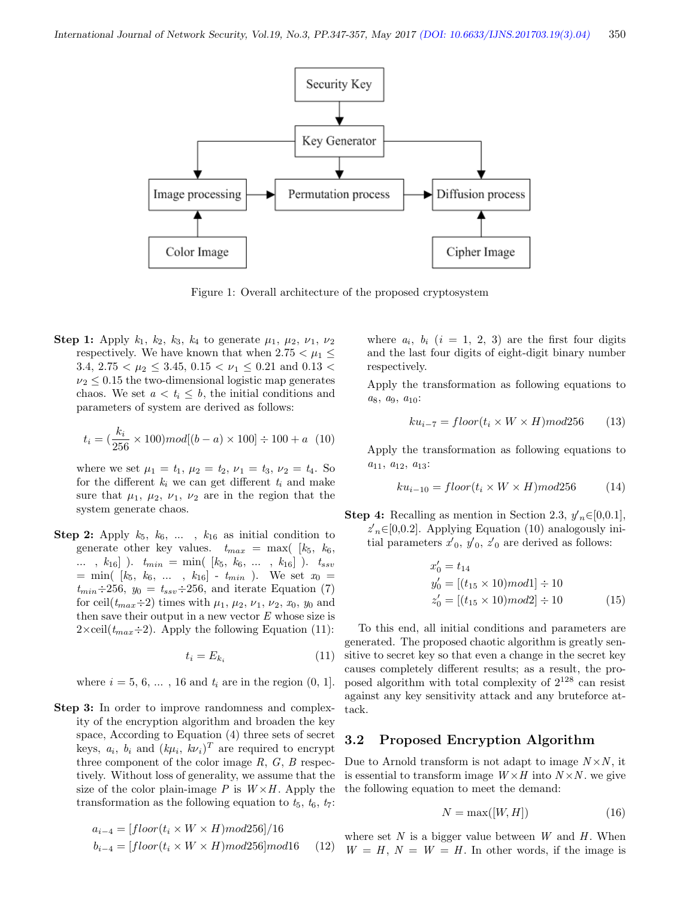

Figure 1: Overall architecture of the proposed cryptosystem

**Step 1:** Apply  $k_1$ ,  $k_2$ ,  $k_3$ ,  $k_4$  to generate  $\mu_1$ ,  $\mu_2$ ,  $\nu_1$ ,  $\nu_2$ respectively. We have known that when  $2.75 < \mu_1 \leq$ 3.4,  $2.75 < \mu_2 \leq 3.45$ ,  $0.15 < \nu_1 \leq 0.21$  and  $0.13 <$  $\nu_2 \leq 0.15$  the two-dimensional logistic map generates chaos. We set  $a < t_i \leq b$ , the initial conditions and parameters of system are derived as follows:

$$
t_i = (\frac{k_i}{256} \times 100) mod[(b - a) \times 100] \div 100 + a \ (10)
$$

where we set  $\mu_1 = t_1, \mu_2 = t_2, \nu_1 = t_3, \nu_2 = t_4$ . So for the different  $k_i$  we can get different  $t_i$  and make sure that  $\mu_1$ ,  $\mu_2$ ,  $\nu_1$ ,  $\nu_2$  are in the region that the system generate chaos.

**Step 2:** Apply  $k_5$ ,  $k_6$ , ...,  $k_{16}$  as initial condition to generate other key values.  $t_{max} = \max($  [ $k_5, k_6,$ ] ...,  $k_{16}$  ).  $t_{min} = \min( [k_5, k_6, \ldots, k_{16} ] )$ .  $t_{ssv}$  $=$  min(  $[k_5, k_6, \ldots, k_{16}] - t_{min}$ ). We set  $x_0 =$  $t_{min} \div 256$ ,  $y_0 = t_{ssv} \div 256$ , and iterate Equation (7) for ceil $(t_{max} \div 2)$  times with  $\mu_1$ ,  $\mu_2$ ,  $\nu_1$ ,  $\nu_2$ ,  $x_0$ ,  $y_0$  and then save their output in a new vector  $E$  whose size is  $2 \times \text{ceil}(t_{max} \div 2)$ . Apply the following Equation (11):

$$
t_i = E_{k_i} \tag{11}
$$

where  $i = 5, 6, ... , 16$  and  $t_i$  are in the region  $(0, 1]$ .

Step 3: In order to improve randomness and complexity of the encryption algorithm and broaden the key space, According to Equation (4) three sets of secret keys,  $a_i$ ,  $b_i$  and  $(k\mu_i, k\nu_i)^T$  are required to encrypt three component of the color image  $R, G, B$  respectively. Without loss of generality, we assume that the size of the color plain-image P is  $W \times H$ . Apply the transformation as the following equation to  $t_5$ ,  $t_6$ ,  $t_7$ :

$$
a_{i-4} = [floor(t_i \times W \times H)mod256]/16
$$
  

$$
b_{i-4} = [floor(t_i \times W \times H)mod256]mod16
$$
 (12)

where  $a_i$ ,  $b_i$   $(i = 1, 2, 3)$  are the first four digits and the last four digits of eight-digit binary number respectively.

Apply the transformation as following equations to  $a_8, a_9, a_{10}$ :

$$
ku_{i-7} = floor(t_i \times W \times H) \mod 256 \tag{13}
$$

Apply the transformation as following equations to  $a_{11}, a_{12}, a_{13}$ :

$$
ku_{i-10} = floor(t_i \times W \times H) \mod 256 \tag{14}
$$

**Step 4:** Recalling as mention in Section 2.3,  $y'_n \in [0,0.1]$ ,  $z_n \in [0, 0.2]$ . Applying Equation (10) analogously initial parameters  $x_0, y_0, z_0$  are derived as follows:

$$
x'_{0} = t_{14}
$$
  
\n
$$
y'_{0} = [(t_{15} \times 10) \text{mod} 1] \div 10
$$
  
\n
$$
z'_{0} = [(t_{15} \times 10) \text{mod} 2] \div 10
$$
  
\n
$$
(15)
$$

To this end, all initial conditions and parameters are generated. The proposed chaotic algorithm is greatly sensitive to secret key so that even a change in the secret key causes completely different results; as a result, the proposed algorithm with total complexity of  $2^{128}$  can resist against any key sensitivity attack and any bruteforce attack.

#### 3.2 Proposed Encryption Algorithm

Due to Arnold transform is not adapt to image  $N \times N$ , it is essential to transform image  $W \times H$  into  $N \times N$ . we give the following equation to meet the demand:

$$
N = \max([W, H]) \tag{16}
$$

where set  $N$  is a bigger value between  $W$  and  $H$ . When  $(W = H, N = W = H$ . In other words, if the image is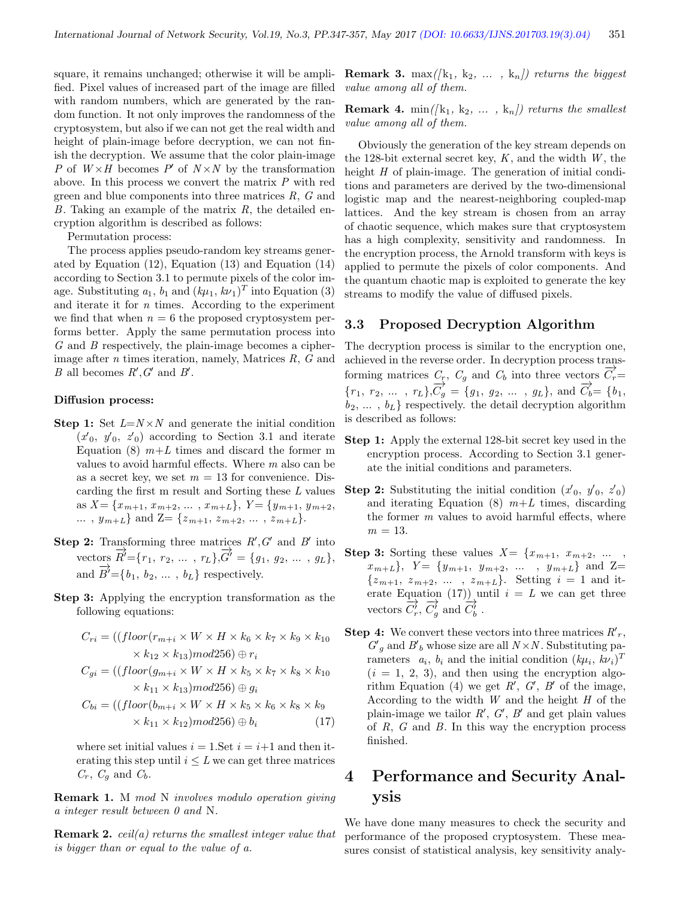square, it remains unchanged; otherwise it will be amplified. Pixel values of increased part of the image are filled with random numbers, which are generated by the random function. It not only improves the randomness of the cryptosystem, but also if we can not get the real width and height of plain-image before decryption, we can not finish the decryption. We assume that the color plain-image P of  $W \times H$  becomes P' of  $N \times N$  by the transformation above. In this process we convert the matrix P with red green and blue components into three matrices  $R$ ,  $G$  and B. Taking an example of the matrix  $R$ , the detailed encryption algorithm is described as follows:

Permutation process:

The process applies pseudo-random key streams generated by Equation (12), Equation (13) and Equation (14) according to Section 3.1 to permute pixels of the color image. Substituting  $a_1$ ,  $b_1$  and  $(k\mu_1, k\nu_1)^T$  into Equation (3) and iterate it for  $n$  times. According to the experiment we find that when  $n = 6$  the proposed cryptosystem performs better. Apply the same permutation process into G and B respectively, the plain-image becomes a cipherimage after  $n$  times iteration, namely, Matrices  $R$ ,  $G$  and B all becomes  $R', G'$  and  $B'$ .

#### Diffusion process:

- **Step 1:** Set  $L=N\times N$  and generate the initial condition  $(x'_0, y'_0, z'_0)$  according to Section 3.1 and iterate Equation (8)  $m+L$  times and discard the former m values to avoid harmful effects. Where m also can be as a secret key, we set  $m = 13$  for convenience. Discarding the first m result and Sorting these  $L$  values as  $X = \{x_{m+1}, x_{m+2}, \ldots, x_{m+L}\}, Y = \{y_{m+1}, y_{m+2}, \ldots, y_{m+2}\}$ ...,  $y_{m+L}$  and  $Z = \{z_{m+1}, z_{m+2}, \ldots, z_{m+L}\}.$
- Step 2: Transforming three matrices  $R', G'$  and  $B'$  into vectors  $\vec{R'} = \{r_1, r_2, ..., r_L\}, \vec{G'} = \{g_1, g_2, ..., g_L\},\$ and  $\overrightarrow{B'} = \{b_1, b_2, \dots, b_L\}$  respectively.
- Step 3: Applying the encryption transformation as the following equations:

$$
C_{ri} = ((floor(r_{m+i} \times W \times H \times k_6 \times k_7 \times k_9 \times k_{10} \times k_{12} \times k_{13}) \mod 256) \oplus r_i
$$
  

$$
C_{gi} = ((floor(g_{m+i} \times W \times H \times k_5 \times k_7 \times k_8 \times k_{10} \times k_{11} \times k_{13}) \mod 256) \oplus g_i
$$

$$
C_{bi} = ((floor(b_{m+i} \times W \times H \times k_5 \times k_6 \times k_8 \times k_9 \times k_{11} \times k_{12}) \times (17)
$$

where set initial values  $i = 1$ . Set  $i = i+1$  and then iterating this step until  $i \leq L$  we can get three matrices  $C_r$ ,  $C_q$  and  $C_b$ .

Remark 1. M mod N involves modulo operation giving a integer result between 0 and N.

**Remark 2.** ceil(a) returns the smallest integer value that is bigger than or equal to the value of a.

**Remark 3.** max $([k_1, k_2, \ldots, k_n])$  returns the biggest value among all of them.

**Remark 4.** min( $[k_1, k_2, \ldots, k_n]$ ) returns the smallest value among all of them.

Obviously the generation of the key stream depends on the 128-bit external secret key,  $K$ , and the width  $W$ , the height H of plain-image. The generation of initial conditions and parameters are derived by the two-dimensional logistic map and the nearest-neighboring coupled-map lattices. And the key stream is chosen from an array of chaotic sequence, which makes sure that cryptosystem has a high complexity, sensitivity and randomness. In the encryption process, the Arnold transform with keys is applied to permute the pixels of color components. And the quantum chaotic map is exploited to generate the key streams to modify the value of diffused pixels.

#### 3.3 Proposed Decryption Algorithm

The decryption process is similar to the encryption one, achieved in the reverse order. In decryption process transforming matrices  $C_r$ ,  $C_g$  and  $C_b$  into three vectors  $\overrightarrow{C_r}$ =  ${r_1, r_2, ..., r_L}, \overrightarrow{C_g} = {g_1, g_2, ..., g_L}, \text{ and } \overrightarrow{C_b} = {b_1, b_2, ..., b_L}$  $b_2, \ldots, b_L$  respectively. the detail decryption algorithm is described as follows:

- Step 1: Apply the external 128-bit secret key used in the encryption process. According to Section 3.1 generate the initial conditions and parameters.
- **Step 2:** Substituting the initial condition  $(x'_0, y'_0, z'_0)$ and iterating Equation  $(8)$   $m+L$  times, discarding the former  $m$  values to avoid harmful effects, where  $m = 13$ .
- **Step 3:** Sorting these values  $X = \{x_{m+1}, x_{m+2}, \dots \}$  $x_{m+L}$ ,  $Y = \{y_{m+1}, y_{m+2}, \dots, y_{m+L}\}$  and  $Z=$  $\{z_{m+1}, z_{m+2}, \ldots, z_{m+L}\}.$  Setting  $i = 1$  and iterate Equation (17)) until  $i = L$  we can get three vectors  $\overrightarrow{C'_r}, \overrightarrow{C'_g}$  and  $\overrightarrow{C'_b}$ .
- **Step 4:** We convert these vectors into three matrices  $R'_r$ ,  $G'_g$  and  $B'_b$  whose size are all  $N \times N$ . Substituting parameters  $a_i$ ,  $b_i$  and the initial condition  $(k\mu_i, k\nu_i)^T$  $(i = 1, 2, 3)$ , and then using the encryption algorithm Equation (4) we get  $R', G', B'$  of the image, According to the width  $W$  and the height  $H$  of the plain-image we tailor  $R', G', B'$  and get plain values of  $R$ ,  $G$  and  $B$ . In this way the encryption process finished.

# 4 Performance and Security Analysis

We have done many measures to check the security and performance of the proposed cryptosystem. These measures consist of statistical analysis, key sensitivity analy-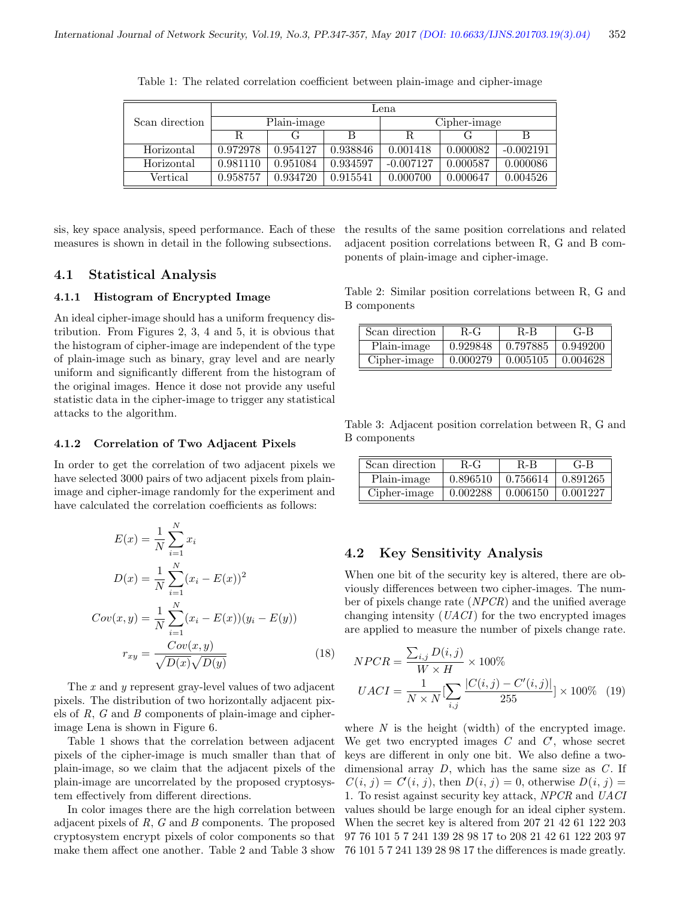|                | Lena.       |          |          |              |          |             |
|----------------|-------------|----------|----------|--------------|----------|-------------|
| Scan direction | Plain-image |          |          | Cipher-image |          |             |
|                |             |          |          |              |          | B           |
| Horizontal     | 0.972978    | 0.954127 | 0.938846 | 0.001418     | 0.000082 | $-0.002191$ |
| Horizontal     | 0.981110    | 0.951084 | 0.934597 | $-0.007127$  | 0.000587 | 0.000086    |
| Vertical       | 0.958757    | 0.934720 | 0.915541 | 0.000700     | 0.000647 | 0.004526    |

Table 1: The related correlation coefficient between plain-image and cipher-image

sis, key space analysis, speed performance. Each of these measures is shown in detail in the following subsections.

the results of the same position correlations and related adjacent position correlations between R, G and B components of plain-image and cipher-image.

#### 4.1 Statistical Analysis

#### 4.1.1 Histogram of Encrypted Image

An ideal cipher-image should has a uniform frequency distribution. From Figures 2, 3, 4 and 5, it is obvious that the histogram of cipher-image are independent of the type of plain-image such as binary, gray level and are nearly uniform and significantly different from the histogram of the original images. Hence it dose not provide any useful statistic data in the cipher-image to trigger any statistical attacks to the algorithm.

#### 4.1.2 Correlation of Two Adjacent Pixels

In order to get the correlation of two adjacent pixels we have selected 3000 pairs of two adjacent pixels from plainimage and cipher-image randomly for the experiment and have calculated the correlation coefficients as follows:

$$
E(x) = \frac{1}{N} \sum_{i=1}^{N} x_i
$$
  
\n
$$
D(x) = \frac{1}{N} \sum_{i=1}^{N} (x_i - E(x))^2
$$
  
\n
$$
Cov(x, y) = \frac{1}{N} \sum_{i=1}^{N} (x_i - E(x))(y_i - E(y))
$$
  
\n
$$
r_{xy} = \frac{Cov(x, y)}{\sqrt{D(x)}\sqrt{D(y)}}
$$
\n(18)

The x and y represent gray-level values of two adjacent pixels. The distribution of two horizontally adjacent pixels of R, G and B components of plain-image and cipherimage Lena is shown in Figure 6.

Table 1 shows that the correlation between adjacent pixels of the cipher-image is much smaller than that of plain-image, so we claim that the adjacent pixels of the plain-image are uncorrelated by the proposed cryptosystem effectively from different directions.

In color images there are the high correlation between adjacent pixels of R, G and B components. The proposed cryptosystem encrypt pixels of color components so that make them affect one another. Table 2 and Table 3 show

Table 2: Similar position correlations between R, G and B components

| Scan direction | $R-G$    | R-B      | $G-B$    |
|----------------|----------|----------|----------|
| Plain-image    | 0.929848 | 0.797885 | 0.949200 |
| Cipher-image   | 0.000279 | 0.005105 | 0.004628 |

Table 3: Adjacent position correlation between R, G and B components

| Scan direction | $R-G$    | $R-B$                  | $G-B$    |
|----------------|----------|------------------------|----------|
| Plain-image    | 0.896510 | $\pm 0.756614$         | 0.891265 |
| Cipher-image   | 0.002288 | $\vert 0.006150 \vert$ | 0.001227 |

## 4.2 Key Sensitivity Analysis

When one bit of the security key is altered, there are obviously differences between two cipher-images. The number of pixels change rate (NPCR) and the unified average changing intensity  $(UACI)$  for the two encrypted images are applied to measure the number of pixels change rate.

$$
NPCR = \frac{\sum_{i,j} D(i,j)}{W \times H} \times 100\%
$$
  

$$
UACI = \frac{1}{N \times N} [\sum_{i,j} \frac{|C(i,j) - C'(i,j)|}{255}] \times 100\% \quad (19)
$$

where  $N$  is the height (width) of the encrypted image. We get two encrypted images  $C$  and  $C$ , whose secret keys are different in only one bit. We also define a twodimensional array  $D$ , which has the same size as  $C$ . If  $C(i, j) = C'(i, j)$ , then  $D(i, j) = 0$ , otherwise  $D(i, j) =$ 1. To resist against security key attack, NPCR and UACI values should be large enough for an ideal cipher system. When the secret key is altered from 207 21 42 61 122 203 97 76 101 5 7 241 139 28 98 17 to 208 21 42 61 122 203 97 76 101 5 7 241 139 28 98 17 the differences is made greatly.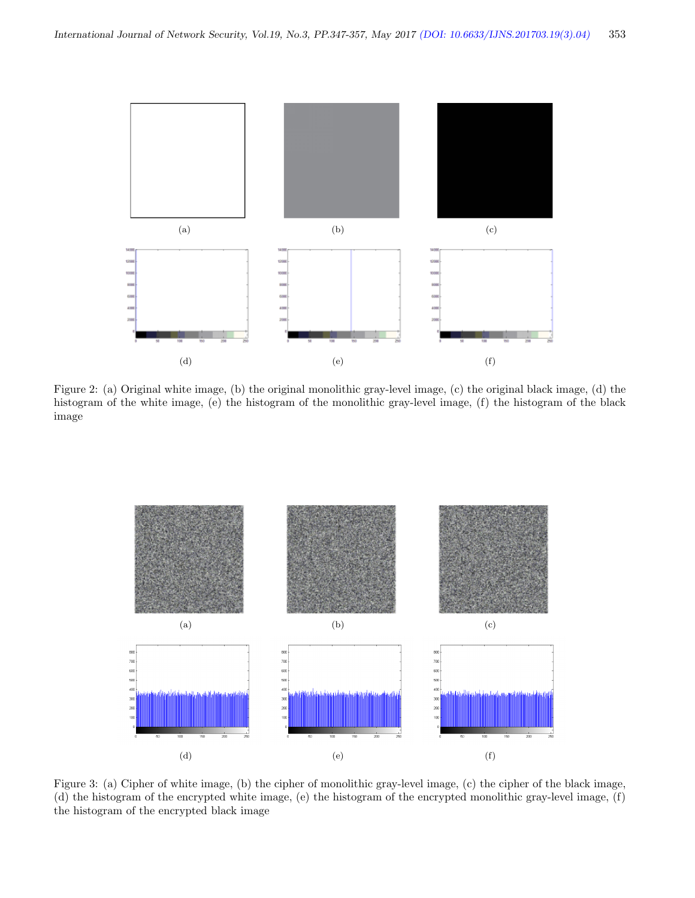

Figure 2: (a) Original white image, (b) the original monolithic gray-level image, (c) the original black image, (d) the histogram of the white image, (e) the histogram of the monolithic gray-level image, (f) the histogram of the black image



Figure 3: (a) Cipher of white image, (b) the cipher of monolithic gray-level image, (c) the cipher of the black image, (d) the histogram of the encrypted white image, (e) the histogram of the encrypted monolithic gray-level image, (f) the histogram of the encrypted black image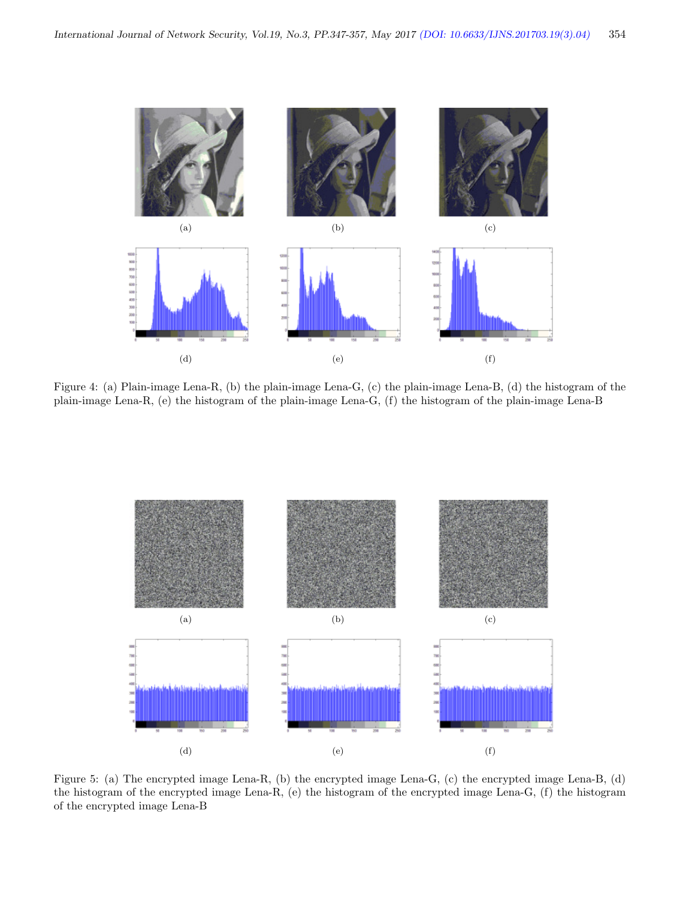(a)  $(a)$  (b)  $(c)$ 100<br>300<br>400<br>400<br>300<br>300 (d)  $(e)$  (f)

Figure 4: (a) Plain-image Lena-R, (b) the plain-image Lena-G, (c) the plain-image Lena-B, (d) the histogram of the plain-image Lena-R, (e) the histogram of the plain-image Lena-G, (f) the histogram of the plain-image Lena-B



Figure 5: (a) The encrypted image Lena-R, (b) the encrypted image Lena-G, (c) the encrypted image Lena-B, (d) the histogram of the encrypted image Lena-R, (e) the histogram of the encrypted image Lena-G, (f) the histogram of the encrypted image Lena-B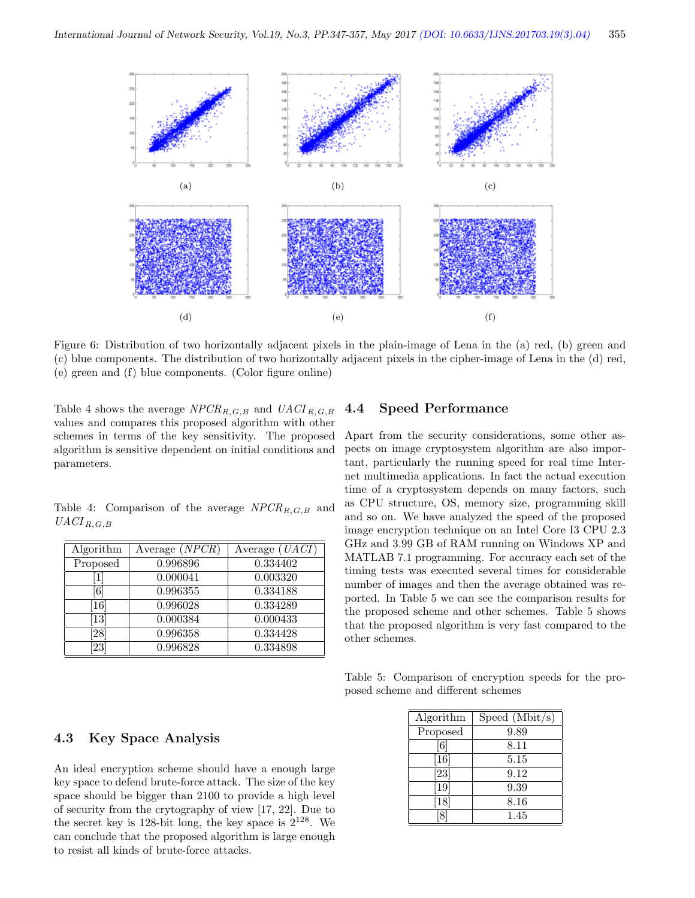

Figure 6: Distribution of two horizontally adjacent pixels in the plain-image of Lena in the (a) red, (b) green and (c) blue components. The distribution of two horizontally adjacent pixels in the cipher-image of Lena in the (d) red, (e) green and (f) blue components. (Color figure online)

Table 4 shows the average  $NPCR_{R,G,B}$  and  $UACI_{R,G,B}$ values and compares this proposed algorithm with other schemes in terms of the key sensitivity. The proposed algorithm is sensitive dependent on initial conditions and parameters.

Table 4: Comparison of the average  $NPCR_{R,G,B}$  and  $UACI_{R,G,B}$ 

| Algorithm         | Average $(NPCR)$ | Average $(UACI)$ |
|-------------------|------------------|------------------|
| Proposed          | 0.996896         | 0.334402         |
| $1\vert$          | 0.000041         | 0.003320         |
| 6                 | 0.996355         | 0.334188         |
| <b>16</b>         | 0.996028         | 0.334289         |
| $\left[13\right]$ | 0.000384         | 0.000433         |
| [28]              | 0.996358         | 0.334428         |
| 23                | 0.996828         | 0.334898         |

## 4.4 Speed Performance

Apart from the security considerations, some other aspects on image cryptosystem algorithm are also important, particularly the running speed for real time Internet multimedia applications. In fact the actual execution time of a cryptosystem depends on many factors, such as CPU structure, OS, memory size, programming skill and so on. We have analyzed the speed of the proposed image encryption technique on an Intel Core I3 CPU 2.3 GHz and 3.99 GB of RAM running on Windows XP and MATLAB 7.1 programming. For accuracy each set of the timing tests was executed several times for considerable number of images and then the average obtained was reported. In Table 5 we can see the comparison results for the proposed scheme and other schemes. Table 5 shows that the proposed algorithm is very fast compared to the other schemes.

Table 5: Comparison of encryption speeds for the proposed scheme and different schemes

| Algorithm                     | Speed $(Mbit/s)$ |
|-------------------------------|------------------|
| Proposed                      | 9.89             |
| $\lceil 6 \rceil$             | 8.11             |
| $\left\lceil 16 \right\rceil$ | 5.15             |
| $\left[ 23\right]$            | 9.12             |
| $\left[19\right]$             | 9.39             |
| 18                            | 8.16             |
|                               | 1.45             |

#### 4.3 Key Space Analysis

An ideal encryption scheme should have a enough large key space to defend brute-force attack. The size of the key space should be bigger than 2100 to provide a high level of security from the crytography of view [17, 22]. Due to the secret key is 128-bit long, the key space is  $2^{128}$ . We can conclude that the proposed algorithm is large enough to resist all kinds of brute-force attacks.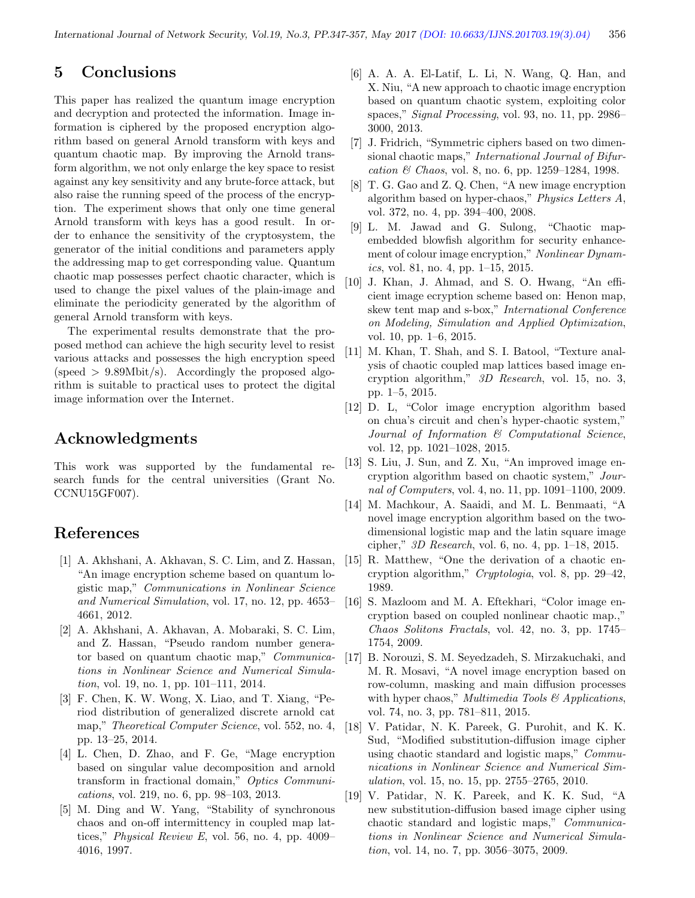# 5 Conclusions

This paper has realized the quantum image encryption and decryption and protected the information. Image information is ciphered by the proposed encryption algorithm based on general Arnold transform with keys and quantum chaotic map. By improving the Arnold transform algorithm, we not only enlarge the key space to resist against any key sensitivity and any brute-force attack, but also raise the running speed of the process of the encryption. The experiment shows that only one time general Arnold transform with keys has a good result. In order to enhance the sensitivity of the cryptosystem, the generator of the initial conditions and parameters apply the addressing map to get corresponding value. Quantum chaotic map possesses perfect chaotic character, which is used to change the pixel values of the plain-image and eliminate the periodicity generated by the algorithm of general Arnold transform with keys.

The experimental results demonstrate that the proposed method can achieve the high security level to resist various attacks and possesses the high encryption speed (speed  $> 9.89 \text{Mbit/s}$ ). Accordingly the proposed algorithm is suitable to practical uses to protect the digital image information over the Internet.

# Acknowledgments

This work was supported by the fundamental research funds for the central universities (Grant No. CCNU15GF007).

# References

- [1] A. Akhshani, A. Akhavan, S. C. Lim, and Z. Hassan, "An image encryption scheme based on quantum logistic map," Communications in Nonlinear Science and Numerical Simulation, vol. 17, no. 12, pp. 4653– 4661, 2012.
- [2] A. Akhshani, A. Akhavan, A. Mobaraki, S. C. Lim, and Z. Hassan, "Pseudo random number generator based on quantum chaotic map," Communications in Nonlinear Science and Numerical Simulation, vol. 19, no. 1, pp. 101–111, 2014.
- [3] F. Chen, K. W. Wong, X. Liao, and T. Xiang, "Period distribution of generalized discrete arnold cat map," *Theoretical Computer Science*, vol. 552, no. 4, pp. 13–25, 2014.
- [4] L. Chen, D. Zhao, and F. Ge, "Mage encryption based on singular value decomposition and arnold transform in fractional domain," Optics Communications, vol. 219, no. 6, pp. 98–103, 2013.
- [5] M. Ding and W. Yang, "Stability of synchronous chaos and on-off intermittency in coupled map lattices," Physical Review E, vol. 56, no. 4, pp. 4009– 4016, 1997.
- [6] A. A. A. El-Latif, L. Li, N. Wang, Q. Han, and X. Niu, "A new approach to chaotic image encryption based on quantum chaotic system, exploiting color spaces," Signal Processing, vol. 93, no. 11, pp. 2986– 3000, 2013.
- [7] J. Fridrich, "Symmetric ciphers based on two dimensional chaotic maps," International Journal of Bifurcation  $\&$  Chaos, vol. 8, no. 6, pp. 1259–1284, 1998.
- [8] T. G. Gao and Z. Q. Chen, "A new image encryption algorithm based on hyper-chaos," Physics Letters A, vol. 372, no. 4, pp. 394–400, 2008.
- [9] L. M. Jawad and G. Sulong, "Chaotic mapembedded blowfish algorithm for security enhancement of colour image encryption," Nonlinear Dynamics, vol. 81, no. 4, pp. 1–15, 2015.
- [10] J. Khan, J. Ahmad, and S. O. Hwang, "An efficient image ecryption scheme based on: Henon map, skew tent map and s-box," International Conference on Modeling, Simulation and Applied Optimization, vol. 10, pp. 1–6, 2015.
- [11] M. Khan, T. Shah, and S. I. Batool, "Texture analysis of chaotic coupled map lattices based image encryption algorithm," 3D Research, vol. 15, no. 3, pp. 1–5, 2015.
- [12] D. L, "Color image encryption algorithm based on chua's circuit and chen's hyper-chaotic system," Journal of Information & Computational Science, vol. 12, pp. 1021–1028, 2015.
- [13] S. Liu, J. Sun, and Z. Xu, "An improved image encryption algorithm based on chaotic system," Journal of Computers, vol. 4, no. 11, pp. 1091–1100, 2009.
- [14] M. Machkour, A. Saaidi, and M. L. Benmaati, "A novel image encryption algorithm based on the twodimensional logistic map and the latin square image cipher," 3D Research, vol. 6, no. 4, pp. 1–18, 2015.
- [15] R. Matthew, "One the derivation of a chaotic encryption algorithm," Cryptologia, vol. 8, pp. 29–42, 1989.
- [16] S. Mazloom and M. A. Eftekhari, "Color image encryption based on coupled nonlinear chaotic map.," Chaos Solitons Fractals, vol. 42, no. 3, pp. 1745– 1754, 2009.
- [17] B. Norouzi, S. M. Seyedzadeh, S. Mirzakuchaki, and M. R. Mosavi, "A novel image encryption based on row-column, masking and main diffusion processes with hyper chaos," Multimedia Tools  $\mathcal B$  Applications, vol. 74, no. 3, pp. 781–811, 2015.
- [18] V. Patidar, N. K. Pareek, G. Purohit, and K. K. Sud, "Modified substitution-diffusion image cipher using chaotic standard and logistic maps," Communications in Nonlinear Science and Numerical Simulation, vol. 15, no. 15, pp. 2755–2765, 2010.
- [19] V. Patidar, N. K. Pareek, and K. K. Sud, "A new substitution-diffusion based image cipher using chaotic standard and logistic maps," Communications in Nonlinear Science and Numerical Simulation, vol. 14, no. 7, pp. 3056–3075, 2009.